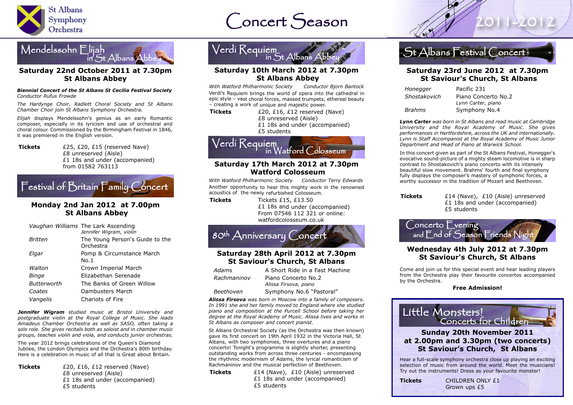

# $Concert$  Season  $\mathscr{A}$  2011-201

### Mendelssohn Elijah  $\tilde{h}$  St Albans

#### **Saturday 22nd October 2011 at 7.30pm St Albans Abbey**

#### *Biennial Concert of the St Albans St Cecilia Festival Society Conductor Rufus Frowde*

*The Hardynge Choir, Radlett Choral Society and St Albans Chamber Choir join St Albans Symphony Orchestra.*

*Elijah* displays Mendelssohn's genius as an early Romantic composer, especially in its lyricism and use of orchestral and choral colour. Commissioned by the Birmingham Festival in 1846, it was premiered in the English version.

**Tickets** £25, £20, £15 (reserved Nave) £8 unreserved (Aisle) £1 18s and under (accompanied) from 01582 763113

# Festival of Britain Family Concert

### **Monday 2nd Jan 2012 at 7.00pm St Albans Abbey**

|                    | Vaughan Williams The Lark Ascending<br>Jennifer Wigram, violin |
|--------------------|----------------------------------------------------------------|
| Britten            | The Young Person's Guide to the<br>Orchestra                   |
| Elgar              | Pomp & Circumstance March<br>No.1                              |
| Walton             | Crown Imperial March                                           |
| Binge              | Elizabethan Serenade                                           |
| <b>Butterworth</b> | The Banks of Green Willow                                      |
| Coates             | Dambusters March                                               |
| Vangelis           | Chariots of Fire                                               |
|                    |                                                                |

*Jennifer Wigram studied music at Bristol University and postgraduate violin at the Royal College of Music. She leads Amadeus Chamber Orchestra as well as SASO, often taking a solo role. She gives recitals both as soloist and in chamber music groups, teaches violin and viola, and conducts junior orchestras.*

The year 2012 brings celebrations of the Queen's Diamond Jubilee, the London Olympics and the Orchestra's 80th birthday. Here is a celebration in music of all that is Great about Britain*.*

**Tickets**  $f(20)$ ,  $f(16)$ ,  $f(12)$  reserved (Nave) £8 unreserved (Aisle) £1 18s and under (accompanied) £5 students



### **Saturday 10th March 2012 at 7.30pm St Albans Abbey**

*With Watford Philharmonic Society Conductor Bjorn Bantock* Verdi's Requiem brings the world of opera into the cathedral in epic style – vast choral forces, massed trumpets, ethereal beauty – creating <sup>a</sup> work of unique and majestic power.

**Tickets** *E20, E16, E12* reserved (Nave) £8 unreserved (Aisle)

£1 18s and under (accompanied)

£5 students



#### **Saturday 17th March 2012 at 7.30pm Watford Colosseum**

*With Watford Philharmonic Society Conductor Terry Edwards* Another opportunity to hear this mighty work in the renowned acoustics of the newly refurbished Colosseum.

**Tickets** Tickets £15, £13.50 £1 18s and under (accompanied) From 07546 112 321 or online: watfordcolosseum.co.uk



### **Saturday 28th April 2012 at 7.30pm St Saviour's Church, St Albans**

| Adams       | A Short Ride in a Fast Machine               | Come and join us for this special event an                      |
|-------------|----------------------------------------------|-----------------------------------------------------------------|
| Rachmaninov | Piano Concerto No.2<br>Alissa Firsova, piano | from the Orchestra play their favourite co<br>by the Orchestra. |
| Beethoven   | Symphony No.6 "Pastoral"                     | <b>Free Admission!</b>                                          |
|             |                                              |                                                                 |

*Alissa Firsova was born in Moscow into a family of composers. In 1991 she and her family moved to England where she studied piano and composition at the Purcell School before taking her degree at the Royal Academy of Music. Alissa lives and works in St Albans as composer and concert pianist.*

St Albans Orchestral Society (as the Orchestra was then known) gave its first concert on 19th April 1932 in the Victoria Hall, St Albans, with two symphonies, three overtures and a piano concerto! Tonight's programme is slightly shorter, presenting outstanding works from across three centuries - encompassing the rhythmic modernism of Adams, the lyrical romanticism of Rachmaninov and the musical perfection of Beethoven.

**Tickets** £14 (Nave), £10 (Aisle) unreserved £1 18s and under (accompanied) £5 students



#### **Saturday 23rd June 2012 at 7.30pm St Saviour's Church, St Albans**

| Honegger      | Pacific 231         |
|---------------|---------------------|
| Shostakovich  | Piano Concerto No.2 |
|               | Lynn Carter, piano  |
| <b>Brahms</b> | Symphony No.4       |

*Lynn Carter was born in St Albans and read music at Cambridge University and the Royal Academy of Music. She gives performances in Hertfordshire, across the UK and internationally. Lynn is Staff Accompanist at the Royal Academy of Music Junior Department and Head of Piano at Warwick School.*

In this concert given as part of the St Albans Festival, Honegger's evocative sound-picture of a mighty steam locomotive is in sharp contrast to Shostakovich's piano concerto with its intensely beautiful slow movement. Brahms' fourth and final symphony fully displays the composer's mastery of symphonic forces, a worthy successor in the tradition of Mozart and Beethoven.

| Tickets | £14 (Nave), £10 (Aisle) unreserved |
|---------|------------------------------------|
|         | £1 18s and under (accompanied)     |
|         | £5 students                        |



#### **Wednesday 4th July 2012 at 7.30pm St Saviour's Church, St Albans**

Come and join us for this special event and hear leading players from the Orchestra play their favourite concertos accompanied by the Orchestra.



Hear a full-scale symphony orchestra close up playing an exciting selection of music from around the world. Meet the musicians! Try out the instruments! Dress as your favourite monster!

**Tickets** CHILDREN ONLY £1 Grown ups £5